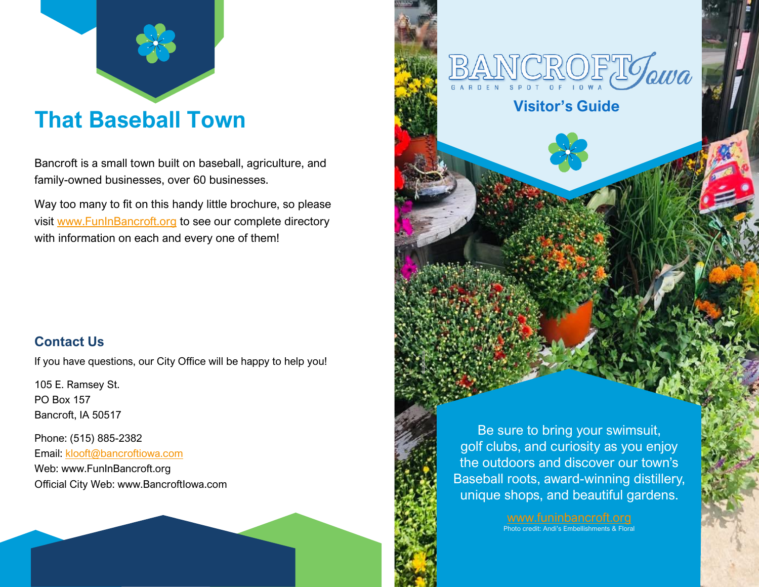

## **That Baseball Town**

Bancroft is a small town built on baseball, agriculture, and family-owned businesses, over 60 businesses.

Way too many to fit on this handy little brochure, so please visit [www.FunInBancroft.org](http://www.funinbancroft.org/) to see our complete directory with information on each and every one of them!

#### **Contact Us**

If you have questions, our City Office will be happy to help you!

105 E. Ramsey St. PO Box 157 Bancroft, IA 50517

Phone: (515) 885-2382 Email: [klooft@bancroftiowa.com](mailto:klooft@bancroftiowa.com) Web: www.FunInBancroft.org Official City Web: www.BancroftIowa.com



[www.funinbancroft.org](http://www.funinbancroft.org/) Photo credit: Andi's Embellishments & Floral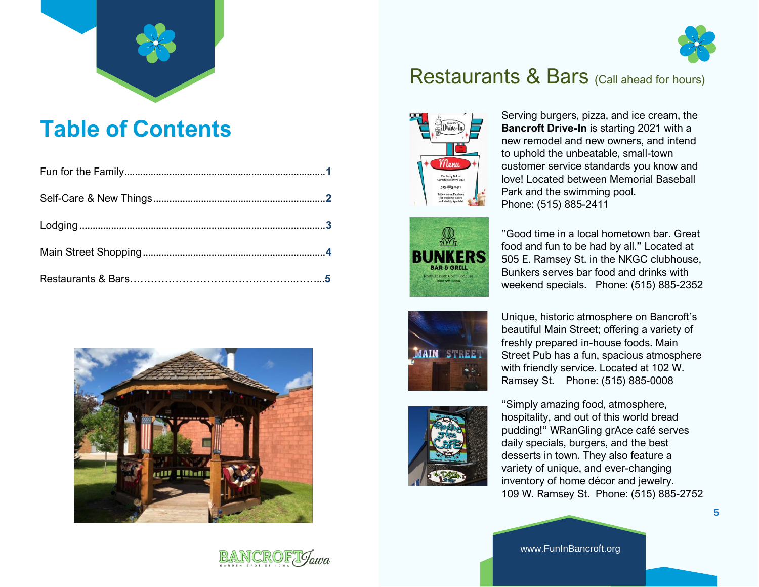



## **Table of Contents**





### Restaurants & Bars (Call ahead for hours)





Serving burgers, pizza, and ice cream, the **Bancroft Drive-In** is starting 2021 with a new remodel and new owners, and intend to uphold the unbeatable, small-town customer service standards you know and love! Located between Memorial Baseball Park and the swimming pool. Phone: (515) 885-2411

"Good time in a local hometown bar. Great food and fun to be had by all." Located at 505 E. Ramsey St. in the NKGC clubhouse, Bunkers serves bar food and drinks with weekend specials. Phone: (515) 885-2352





Unique, historic atmosphere on Bancroft's beautiful Main Street; offering a variety of freshly prepared in-house foods. Main Street Pub has a fun, spacious atmosphere with friendly service. Located at 102 W. Ramsey St. Phone: (515) 885-0008

"Simply amazing food, atmosphere, hospitality, and out of this world bread pudding!" WRanGling grAce café serves daily specials, burgers, and the best desserts in town. They also feature a variety of unique, and ever-changing inventory of home décor and jewelry. 109 W. Ramsey St. Phone: (515) 885-2752

**5**

www.FunInBancroft.org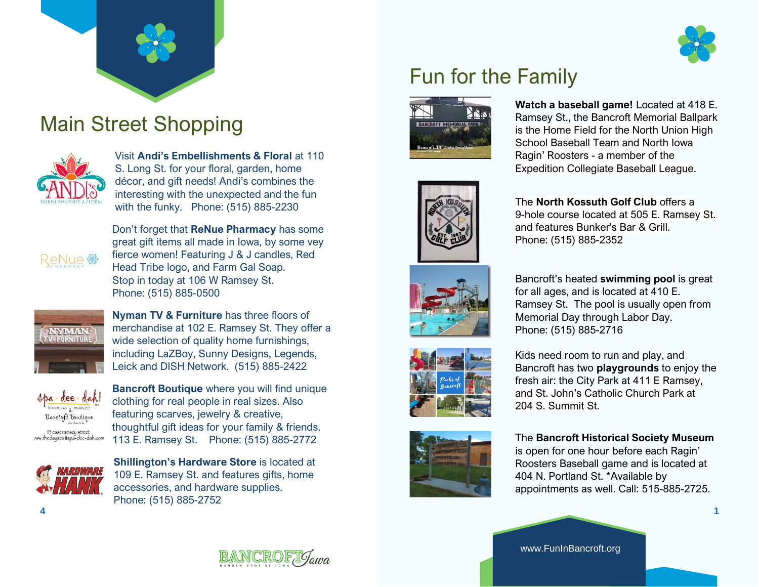

## Main Street Shopping



Visit **Andi's Embellishments & Floral** at 110 S. Long St. for your floral, garden, home décor, and gift needs! Andi's combines the interesting with the unexpected and the fun with the funky. Phone: (515) 885-2230



Don't forget that **ReNue Pharmacy** has some great gift items all made in Iowa, by some vey fierce women! Featuring J & J candles, Red Head Tribe logo, and Farm Gal Soap. Stop in today at 106 W Ramsey St. Phone: (515) 885-0500



**Nyman TV & Furniture** has three floors of merchandise at 102 E. Ramsey St. They offer a wide selection of quality home furnishings, including LaZBoy, Sunny Designs, Legends, Leick and DISH Network. (515) 885-2422



**Bancroft Boutique** where you will find unique clothing for real people in real sizes. Also featuring scarves, jewelry & creative, thoughtful gift ideas for your family & friends. 113 E. Ramsey St. Phone: (515) 885-2772



**Shillington's Hardware Store** is located at 109 E. Ramsey St. and features gifts, home accessories, and hardware supplies. Phone: (515) 885-2752





**Watch a baseball game!** Located at 418 E. Ramsey St., the Bancroft Memorial Ballpark is the Home Field for the North Union High School Baseball Team and North Iowa Ragin' Roosters - a member of the Expedition Collegiate Baseball League.



The **North Kossuth Golf Club** offers a 9-hole course located at 505 E. Ramsey St. and features Bunker's Bar & Grill. Phone: (515) 885-2352







Bancroft's heated **swimming pool** is great for all ages, and is located at 410 E. Ramsey St. The pool is usually open from Memorial Day through Labor Day. Phone: (515) 885-2716

Kids need room to run and play, and Bancroft has two **playgrounds** to enjoy the fresh air: the City Park at 411 E Ramsey, and St. John's Catholic Church Park at 204 S. Summit St.

#### The **Bancroft Historical Society Museum**

is open for one hour before each Ragin' Roosters Baseball game and is located at 404 N. Portland St. \*Available by appointments as well. Call: 515-885-2725.



www.FunInBancroft.org